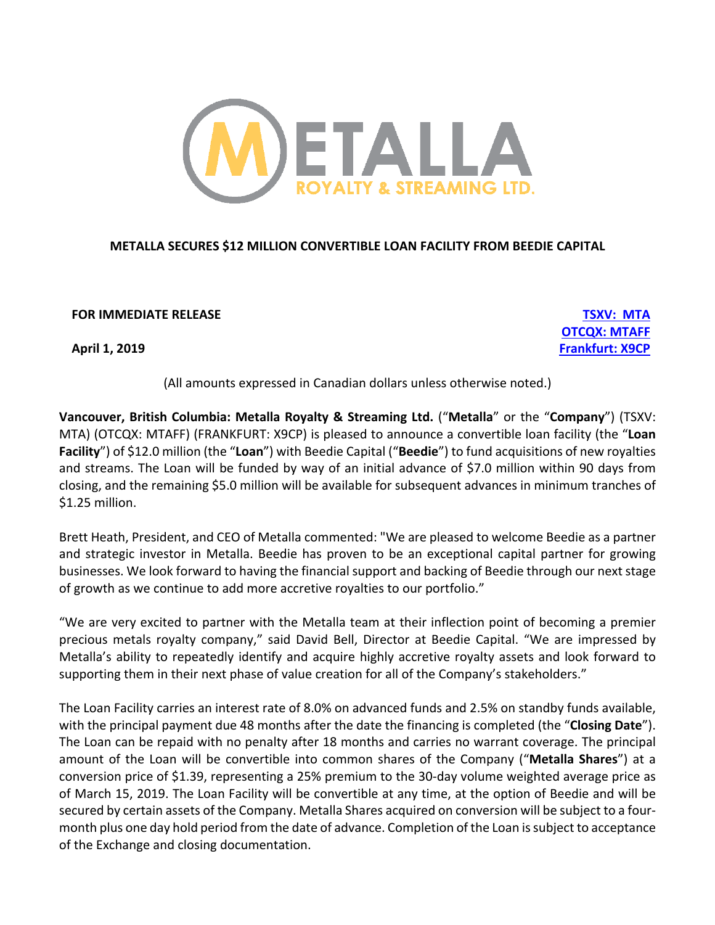

# **METALLA SECURES \$12 MILLION CONVERTIBLE LOAN FACILITY FROM BEEDIE CAPITAL**

**FOR IMMEDIATE RELEASE TSXV: MTA**

**OTCQX: MTAFF April 1, 2019 Frankfurt: X9CP**

(All amounts expressed in Canadian dollars unless otherwise noted.)

**Vancouver, British Columbia: Metalla Royalty & Streaming Ltd.** ("**Metalla**" or the "**Company**") (TSXV: MTA) (OTCQX: MTAFF) (FRANKFURT: X9CP) is pleased to announce a convertible loan facility (the "**Loan Facility**") of \$12.0 million (the "**Loan**") with Beedie Capital ("**Beedie**") to fund acquisitions of new royalties and streams. The Loan will be funded by way of an initial advance of \$7.0 million within 90 days from closing, and the remaining \$5.0 million will be available for subsequent advances in minimum tranches of \$1.25 million.

Brett Heath, President, and CEO of Metalla commented: "We are pleased to welcome Beedie as a partner and strategic investor in Metalla. Beedie has proven to be an exceptional capital partner for growing businesses. We look forward to having the financial support and backing of Beedie through our next stage of growth as we continue to add more accretive royalties to our portfolio."

"We are very excited to partner with the Metalla team at their inflection point of becoming a premier precious metals royalty company," said David Bell, Director at Beedie Capital. "We are impressed by Metalla's ability to repeatedly identify and acquire highly accretive royalty assets and look forward to supporting them in their next phase of value creation for all of the Company's stakeholders."

The Loan Facility carries an interest rate of 8.0% on advanced funds and 2.5% on standby funds available, with the principal payment due 48 months after the date the financing is completed (the "**Closing Date**"). The Loan can be repaid with no penalty after 18 months and carries no warrant coverage. The principal amount of the Loan will be convertible into common shares of the Company ("**Metalla Shares**") at a conversion price of \$1.39, representing a 25% premium to the 30-day volume weighted average price as of March 15, 2019. The Loan Facility will be convertible at any time, at the option of Beedie and will be secured by certain assets of the Company. Metalla Shares acquired on conversion will be subject to a fourmonth plus one day hold period from the date of advance. Completion of the Loan is subject to acceptance of the Exchange and closing documentation.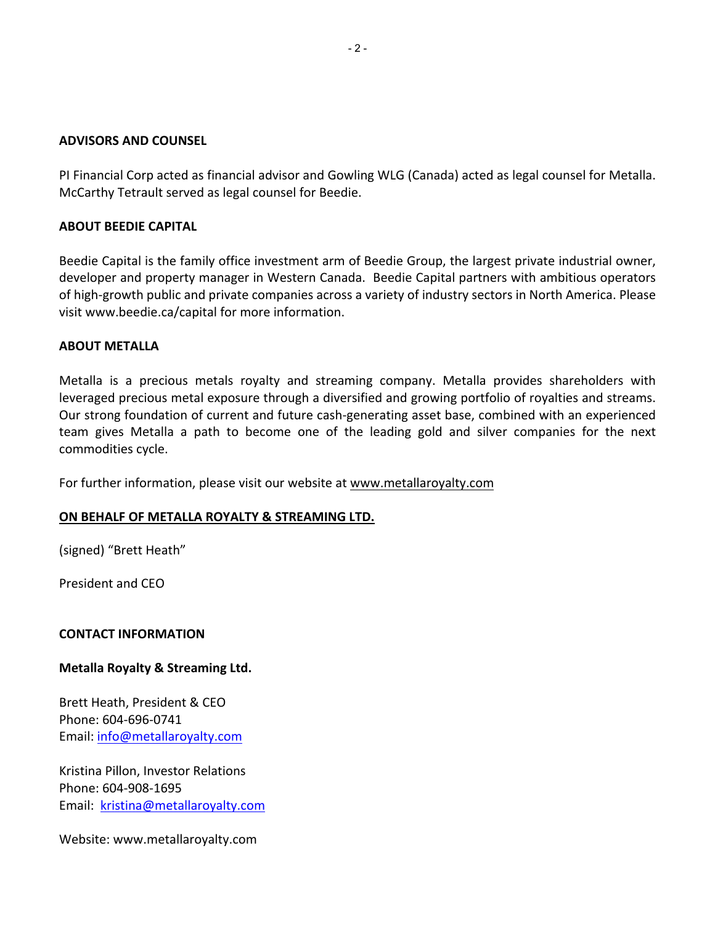#### **ADVISORS AND COUNSEL**

PI Financial Corp acted as financial advisor and Gowling WLG (Canada) acted as legal counsel for Metalla. McCarthy Tetrault served as legal counsel for Beedie.

## **ABOUT BEEDIE CAPITAL**

Beedie Capital is the family office investment arm of Beedie Group, the largest private industrial owner, developer and property manager in Western Canada. Beedie Capital partners with ambitious operators of high-growth public and private companies across a variety of industry sectors in North America. Please visit www.beedie.ca/capital for more information.

#### **ABOUT METALLA**

Metalla is a precious metals royalty and streaming company. Metalla provides shareholders with leveraged precious metal exposure through a diversified and growing portfolio of royalties and streams. Our strong foundation of current and future cash-generating asset base, combined with an experienced team gives Metalla a path to become one of the leading gold and silver companies for the next commodities cycle.

For further information, please visit our website at www.metallaroyalty.com

## **ON BEHALF OF METALLA ROYALTY & STREAMING LTD.**

(signed) "Brett Heath"

President and CEO

## **CONTACT INFORMATION**

## **Metalla Royalty & Streaming Ltd.**

Brett Heath, President & CEO Phone: 604-696-0741 Email: info@metallaroyalty.com

Kristina Pillon, Investor Relations Phone: 604-908-1695 Email: kristina@metallaroyalty.com

Website: www.metallaroyalty.com